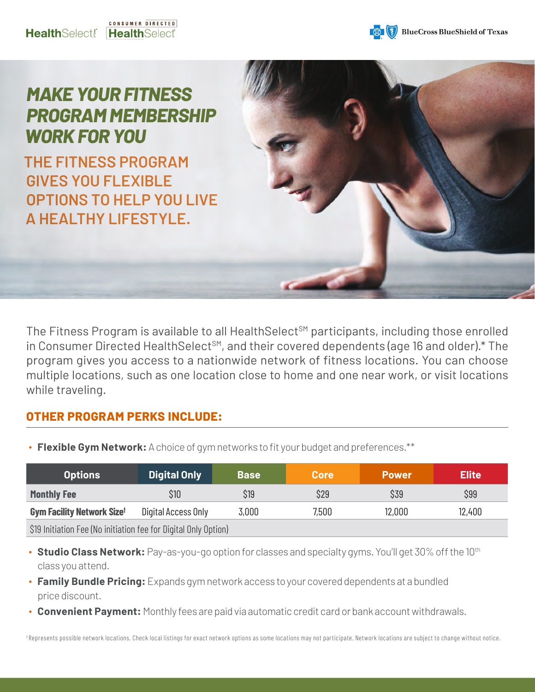



## *MAKE YOUR FITNESS PROGRAM MEMBERSHIP WORK FOR YOU*

**THE FITNESS PROGRAM GIVES YOU FLEXIBLE OPTIONS TO HELP YOU LIVE A HEALTHY LIFESTYLE.** 

The Fitness Program is available to all HealthSelect<sup>SM</sup> participants, including those enrolled in Consumer Directed HealthSelect<sup>SM</sup>, and their covered dependents (age 16 and older).\* The program gives you access to a nationwide network of fitness locations. You can choose multiple locations, such as one location close to home and one near work, or visit locations while traveling.

#### **OTHER PROGRAM PERKS INCLUDE:**

∙ **Flexible Gym Network:** A choice of gym networks to fit your budget and preferences.\*\*

| <b>Options</b>                                                  | <b>Digital Only</b> | <b>Base</b> | <b>Core</b> | <b>Power</b> | Elite I |
|-----------------------------------------------------------------|---------------------|-------------|-------------|--------------|---------|
| <b>Monthly Fee</b>                                              | \$10                | \$19        | \$29        | \$39         | \$99    |
| <b>Gym Facility Network Sizet</b>                               | Digital Access Only | 3,000       | 7,500       | 12,000       | 12,400  |
| \$19 Initiation Fee (No initiation fee for Digital Only Option) |                     |             |             |              |         |

- Studio Class Network: Pay-as-you-go option for classes and specialty gyms. You'll get 30% off the 10<sup>th</sup> class you attend.
- ∙ **Family Bundle Pricing:** Expands gym network access to your covered dependents at a bundled price discount.
- ∙ **Convenient Payment:** Monthly fees are paid via automatic credit card or bank account withdrawals.

† Represents possible network locations. Check local listings for exact network options as some locations may not participate. Network locations are subject to change without notice.